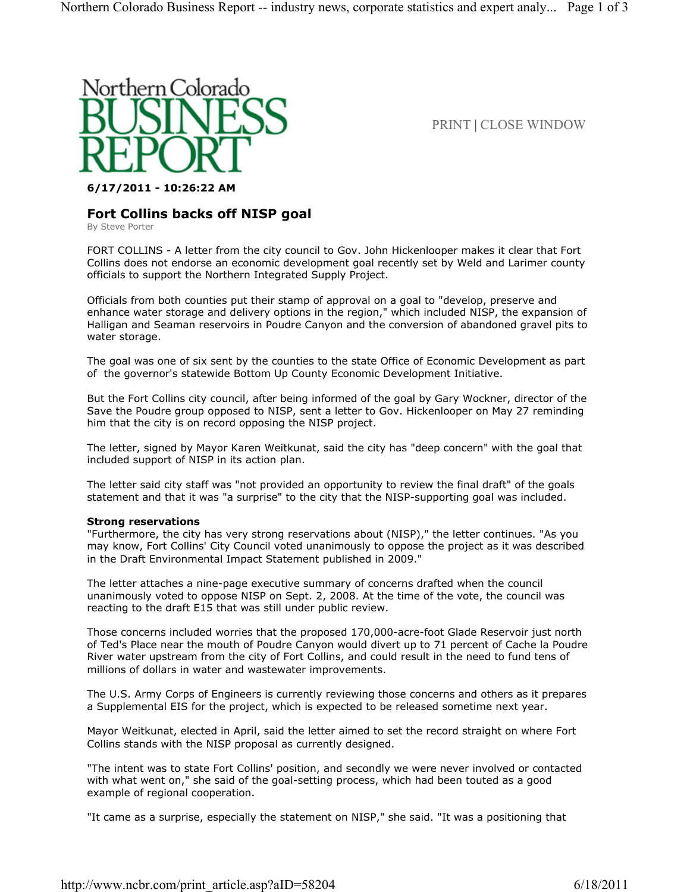

PRINT | CLOSE WINDOW

## **6/17/2011 - 10:26:22 AM**

# **Fort Collins backs off NISP goal**

By Steve Porter

FORT COLLINS - A letter from the city council to Gov. John Hickenlooper makes it clear that Fort Collins does not endorse an economic development goal recently set by Weld and Larimer county officials to support the Northern Integrated Supply Project.

Officials from both counties put their stamp of approval on a goal to "develop, preserve and enhance water storage and delivery options in the region," which included NISP, the expansion of Halligan and Seaman reservoirs in Poudre Canyon and the conversion of abandoned gravel pits to water storage.

The goal was one of six sent by the counties to the state Office of Economic Development as part of the governor's statewide Bottom Up County Economic Development Initiative.

But the Fort Collins city council, after being informed of the goal by Gary Wockner, director of the Save the Poudre group opposed to NISP, sent a letter to Gov. Hickenlooper on May 27 reminding him that the city is on record opposing the NISP project.

The letter, signed by Mayor Karen Weitkunat, said the city has "deep concern" with the goal that included support of NISP in its action plan.

The letter said city staff was "not provided an opportunity to review the final draft" of the goals statement and that it was "a surprise" to the city that the NISP-supporting goal was included.

### **Strong reservations**

"Furthermore, the city has very strong reservations about (NISP)," the letter continues. "As you may know, Fort Collins' City Council voted unanimously to oppose the project as it was described in the Draft Environmental Impact Statement published in 2009."

The letter attaches a nine-page executive summary of concerns drafted when the council unanimously voted to oppose NISP on Sept. 2, 2008. At the time of the vote, the council was reacting to the draft E15 that was still under public review.

Those concerns included worries that the proposed 170,000-acre-foot Glade Reservoir just north of Ted's Place near the mouth of Poudre Canyon would divert up to 71 percent of Cache la Poudre River water upstream from the city of Fort Collins, and could result in the need to fund tens of millions of dollars in water and wastewater improvements.

The U.S. Army Corps of Engineers is currently reviewing those concerns and others as it prepares a Supplemental EIS for the project, which is expected to be released sometime next year.

Mayor Weitkunat, elected in April, said the letter aimed to set the record straight on where Fort Collins stands with the NISP proposal as currently designed.

"The intent was to state Fort Collins' position, and secondly we were never involved or contacted with what went on," she said of the goal-setting process, which had been touted as a good example of regional cooperation.

"It came as a surprise, especially the statement on NISP," she said. "It was a positioning that